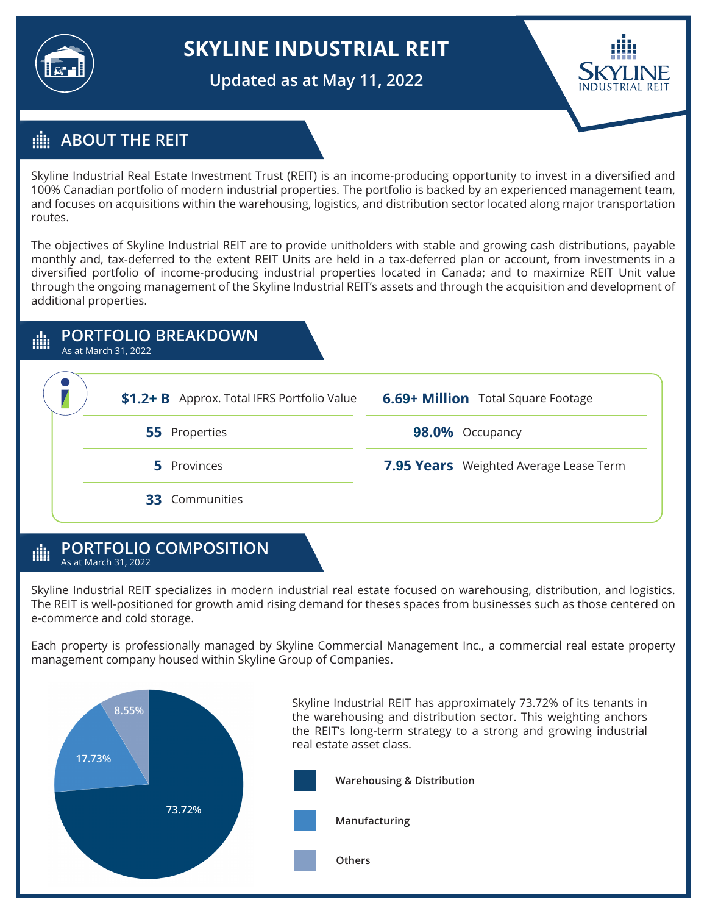

# **SKYLINE INDUSTRIAL REIT**

**Updated as at May 11, 2022**



## **ABOUT THE REIT**

Skyline Industrial Real Estate Investment Trust (REIT) is an income-producing opportunity to invest in a diversified and 100% Canadian portfolio of modern industrial properties. The portfolio is backed by an experienced management team, and focuses on acquisitions within the warehousing, logistics, and distribution sector located along major transportation routes.

The objectives of Skyline Industrial REIT are to provide unitholders with stable and growing cash distributions, payable monthly and, tax-deferred to the extent REIT Units are held in a tax-deferred plan or account, from investments in a diversified portfolio of income-producing industrial properties located in Canada; and to maximize REIT Unit value through the ongoing management of the Skyline Industrial REIT's assets and through the acquisition and development of additional properties.



#### **PORTFOLIO COMPOSITION** dh As at March 31, 2022

Skyline Industrial REIT specializes in modern industrial real estate focused on warehousing, distribution, and logistics. The REIT is well-positioned for growth amid rising demand for theses spaces from businesses such as those centered on e-commerce and cold storage.

Each property is professionally managed by Skyline Commercial Management Inc., a commercial real estate property management company housed within Skyline Group of Companies.